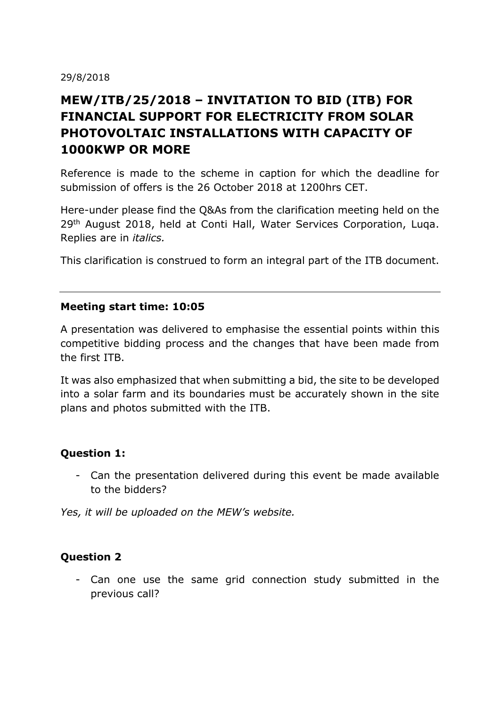#### 29/8/2018

# **MEW/ITB/25/2018 – INVITATION TO BID (ITB) FOR FINANCIAL SUPPORT FOR ELECTRICITY FROM SOLAR PHOTOVOLTAIC INSTALLATIONS WITH CAPACITY OF 1000KWP OR MORE**

Reference is made to the scheme in caption for which the deadline for submission of offers is the 26 October 2018 at 1200hrs CET.

Here-under please find the Q&As from the clarification meeting held on the 29<sup>th</sup> August 2018, held at Conti Hall, Water Services Corporation, Luqa. Replies are in *italics.*

This clarification is construed to form an integral part of the ITB document.

#### **Meeting start time: 10:05**

A presentation was delivered to emphasise the essential points within this competitive bidding process and the changes that have been made from the first ITB.

It was also emphasized that when submitting a bid, the site to be developed into a solar farm and its boundaries must be accurately shown in the site plans and photos submitted with the ITB.

#### **Question 1:**

- Can the presentation delivered during this event be made available to the bidders?

*Yes, it will be uploaded on the MEW's website.*

#### **Question 2**

- Can one use the same grid connection study submitted in the previous call?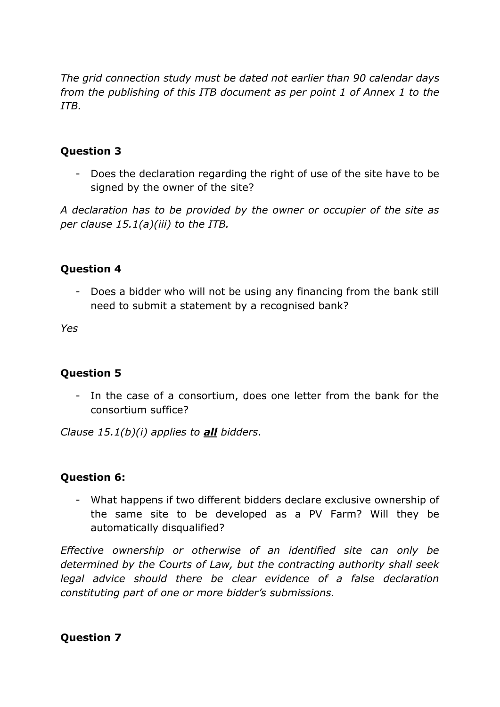*The grid connection study must be dated not earlier than 90 calendar days from the publishing of this ITB document as per point 1 of Annex 1 to the ITB.* 

# **Question 3**

- Does the declaration regarding the right of use of the site have to be signed by the owner of the site?

*A declaration has to be provided by the owner or occupier of the site as per clause 15.1(a)(iii) to the ITB.*

### **Question 4**

Does a bidder who will not be using any financing from the bank still need to submit a statement by a recognised bank?

*Yes*

# **Question 5**

- In the case of a consortium, does one letter from the bank for the consortium suffice?

*Clause 15.1(b)(i) applies to all bidders.*

# **Question 6:**

- What happens if two different bidders declare exclusive ownership of the same site to be developed as a PV Farm? Will they be automatically disqualified?

*Effective ownership or otherwise of an identified site can only be determined by the Courts of Law, but the contracting authority shall seek legal advice should there be clear evidence of a false declaration constituting part of one or more bidder's submissions.*

**Question 7**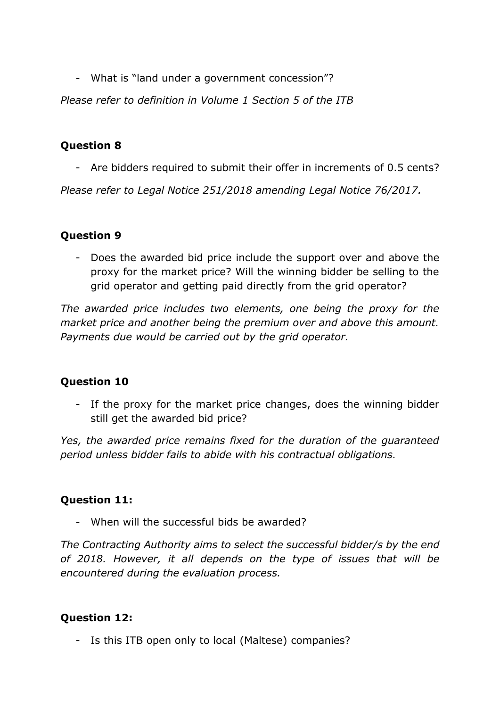- What is "land under a government concession"?

*Please refer to definition in Volume 1 Section 5 of the ITB*

## **Question 8**

- Are bidders required to submit their offer in increments of 0.5 cents?

*Please refer to Legal Notice 251/2018 amending Legal Notice 76/2017.*

# **Question 9**

- Does the awarded bid price include the support over and above the proxy for the market price? Will the winning bidder be selling to the grid operator and getting paid directly from the grid operator?

*The awarded price includes two elements, one being the proxy for the market price and another being the premium over and above this amount. Payments due would be carried out by the grid operator.*

# **Question 10**

- If the proxy for the market price changes, does the winning bidder still get the awarded bid price?

*Yes, the awarded price remains fixed for the duration of the guaranteed period unless bidder fails to abide with his contractual obligations.*

#### **Question 11:**

- When will the successful bids be awarded?

*The Contracting Authority aims to select the successful bidder/s by the end of 2018. However, it all depends on the type of issues that will be encountered during the evaluation process.*

#### **Question 12:**

- Is this ITB open only to local (Maltese) companies?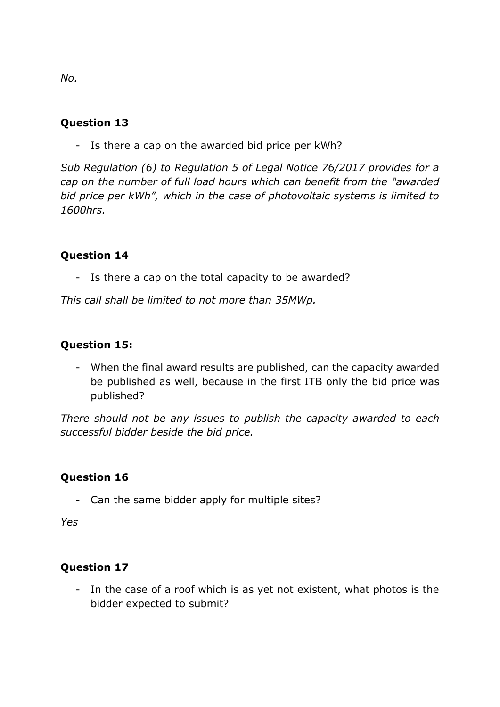## **Question 13**

- Is there a cap on the awarded bid price per kWh?

*Sub Regulation (6) to Regulation 5 of Legal Notice 76/2017 provides for a cap on the number of full load hours which can benefit from the "awarded bid price per kWh", which in the case of photovoltaic systems is limited to 1600hrs.*

#### **Question 14**

- Is there a cap on the total capacity to be awarded?

*This call shall be limited to not more than 35MWp.*

#### **Question 15:**

- When the final award results are published, can the capacity awarded be published as well, because in the first ITB only the bid price was published?

*There should not be any issues to publish the capacity awarded to each successful bidder beside the bid price.*

#### **Question 16**

- Can the same bidder apply for multiple sites?

*Yes*

#### **Question 17**

- In the case of a roof which is as yet not existent, what photos is the bidder expected to submit?

*No.*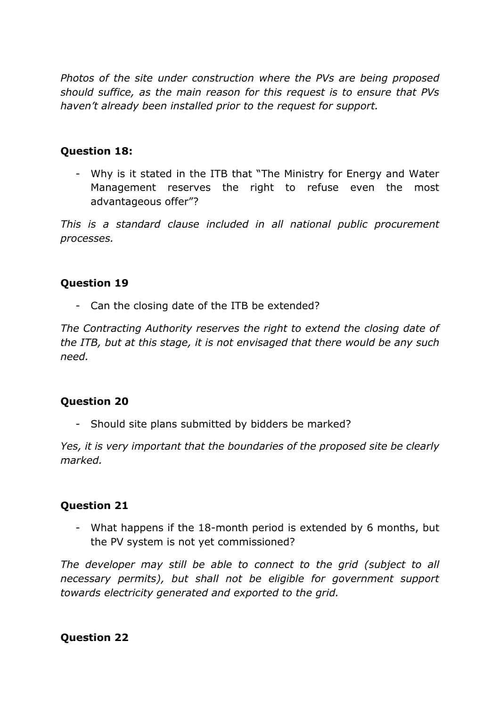*Photos of the site under construction where the PVs are being proposed should suffice, as the main reason for this request is to ensure that PVs haven't already been installed prior to the request for support.*

### **Question 18:**

- Why is it stated in the ITB that "The Ministry for Energy and Water Management reserves the right to refuse even the most advantageous offer"?

*This is a standard clause included in all national public procurement processes.*

### **Question 19**

- Can the closing date of the ITB be extended?

*The Contracting Authority reserves the right to extend the closing date of the ITB, but at this stage, it is not envisaged that there would be any such need.*

# **Question 20**

Should site plans submitted by bidders be marked?

*Yes, it is very important that the boundaries of the proposed site be clearly marked.*

# **Question 21**

- What happens if the 18-month period is extended by 6 months, but the PV system is not yet commissioned?

*The developer may still be able to connect to the grid (subject to all necessary permits), but shall not be eligible for government support towards electricity generated and exported to the grid.*

# **Question 22**